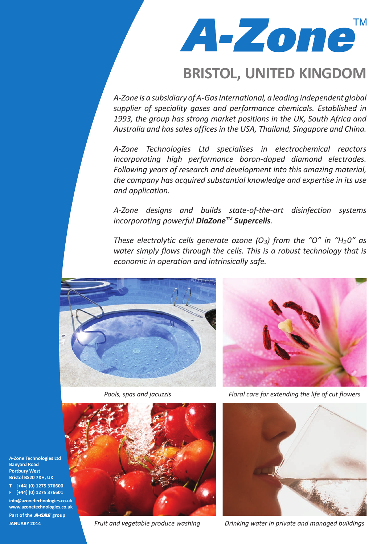A-zone<sup>"</sup> **TM** 

## **BRISTOL, UNITED KINGDOM**

*A-Zone is a subsidiary of A-Gas International, a leading independent global supplier of speciality gases and performance chemicals. Established in 1993, the group has strong market positions in the UK, South Africa and Australia and has sales offices in the USA, Thailand, Singapore and China.*

*A-Zone Technologies Ltd specialises in electrochemical reactors incorporating high performance boron-doped diamond electrodes. Following years of research and development into this amazing material, the company has acquired substantial knowledge and expertise in its use and application.*

*A-Zone designs and builds state-of-the-art disinfection systems incorporating powerful DiaZoneTM Supercells.* 

*These electrolytic cells generate ozone (O3) from the "O" in "H20" as water simply flows through the cells. This is a robust technology that is economic in operation and intrinsically safe.*







*Fruit and vegetable produce washing*

*Pools, spas and jacuzzis Floral care for extending the life of cut flowers*



*Drinking water in private and managed buildings*

**A-Zone Technologies Ltd Banyard Road Portbury West Bristol BS20 7XH, UK T [+44] (0) 1275 376600**

**F [+44] (0) 1275 376601 info@azonetechnologies.co.uk www.azonetechnologies.co.uk**

Part of the **A-GAS** group **JANUARY 2014**